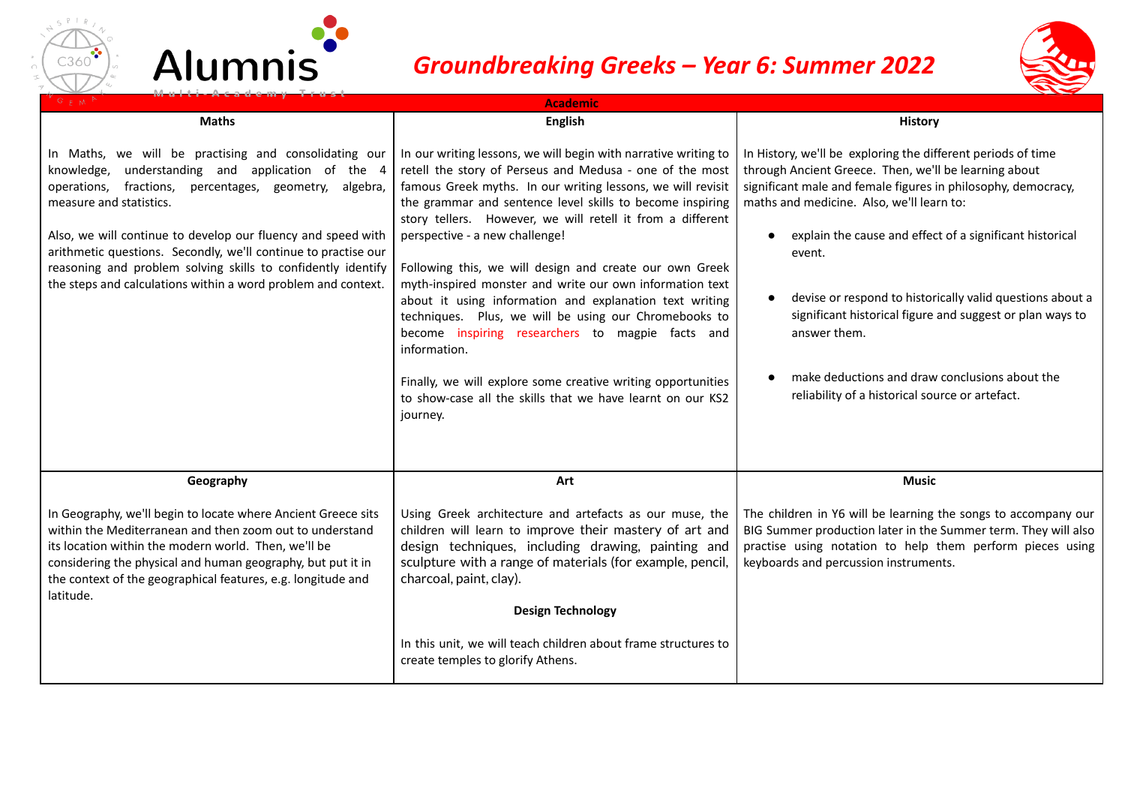



## *Groundbreaking Greeks – Year 6: Summer 2022*



| GFM<br><b>Academic</b>                                                                                                                                                                                                                                                                                                                                                                                                                                                |                                                                                                                                                                                                                                                                                                                                                                                                                                                                                                                                                                                                                                                                                                                                                                                                                  |                                                                                                                                                                                                                                                                                                                                                                                                                                                                                                                                                                       |  |
|-----------------------------------------------------------------------------------------------------------------------------------------------------------------------------------------------------------------------------------------------------------------------------------------------------------------------------------------------------------------------------------------------------------------------------------------------------------------------|------------------------------------------------------------------------------------------------------------------------------------------------------------------------------------------------------------------------------------------------------------------------------------------------------------------------------------------------------------------------------------------------------------------------------------------------------------------------------------------------------------------------------------------------------------------------------------------------------------------------------------------------------------------------------------------------------------------------------------------------------------------------------------------------------------------|-----------------------------------------------------------------------------------------------------------------------------------------------------------------------------------------------------------------------------------------------------------------------------------------------------------------------------------------------------------------------------------------------------------------------------------------------------------------------------------------------------------------------------------------------------------------------|--|
| <b>Maths</b>                                                                                                                                                                                                                                                                                                                                                                                                                                                          | <b>English</b>                                                                                                                                                                                                                                                                                                                                                                                                                                                                                                                                                                                                                                                                                                                                                                                                   | <b>History</b>                                                                                                                                                                                                                                                                                                                                                                                                                                                                                                                                                        |  |
| In Maths, we will be practising and consolidating our<br>knowledge, understanding and application of the 4<br>operations, fractions,<br>percentages, geometry, algebra,<br>measure and statistics.<br>Also, we will continue to develop our fluency and speed with<br>arithmetic questions. Secondly, we'll continue to practise our<br>reasoning and problem solving skills to confidently identify<br>the steps and calculations within a word problem and context. | In our writing lessons, we will begin with narrative writing to<br>retell the story of Perseus and Medusa - one of the most<br>famous Greek myths. In our writing lessons, we will revisit<br>the grammar and sentence level skills to become inspiring<br>story tellers. However, we will retell it from a different<br>perspective - a new challenge!<br>Following this, we will design and create our own Greek<br>myth-inspired monster and write our own information text<br>about it using information and explanation text writing<br>techniques. Plus, we will be using our Chromebooks to<br>become inspiring researchers to magpie facts and<br>information.<br>Finally, we will explore some creative writing opportunities<br>to show-case all the skills that we have learnt on our KS2<br>journey. | In History, we'll be exploring the different periods of time<br>through Ancient Greece. Then, we'll be learning about<br>significant male and female figures in philosophy, democracy,<br>maths and medicine. Also, we'll learn to:<br>explain the cause and effect of a significant historical<br>$\bullet$<br>event.<br>devise or respond to historically valid questions about a<br>significant historical figure and suggest or plan ways to<br>answer them.<br>make deductions and draw conclusions about the<br>reliability of a historical source or artefact. |  |
| Geography                                                                                                                                                                                                                                                                                                                                                                                                                                                             | Art                                                                                                                                                                                                                                                                                                                                                                                                                                                                                                                                                                                                                                                                                                                                                                                                              | <b>Music</b>                                                                                                                                                                                                                                                                                                                                                                                                                                                                                                                                                          |  |
| In Geography, we'll begin to locate where Ancient Greece sits<br>within the Mediterranean and then zoom out to understand<br>its location within the modern world. Then, we'll be<br>considering the physical and human geography, but put it in<br>the context of the geographical features, e.g. longitude and<br>latitude.                                                                                                                                         | Using Greek architecture and artefacts as our muse, the<br>children will learn to improve their mastery of art and<br>design techniques, including drawing, painting and<br>sculpture with a range of materials (for example, pencil,<br>charcoal, paint, clay).<br><b>Design Technology</b>                                                                                                                                                                                                                                                                                                                                                                                                                                                                                                                     | The children in Y6 will be learning the songs to accompany our<br>BIG Summer production later in the Summer term. They will also<br>practise using notation to help them perform pieces using<br>keyboards and percussion instruments.                                                                                                                                                                                                                                                                                                                                |  |
|                                                                                                                                                                                                                                                                                                                                                                                                                                                                       | In this unit, we will teach children about frame structures to<br>create temples to glorify Athens.                                                                                                                                                                                                                                                                                                                                                                                                                                                                                                                                                                                                                                                                                                              |                                                                                                                                                                                                                                                                                                                                                                                                                                                                                                                                                                       |  |